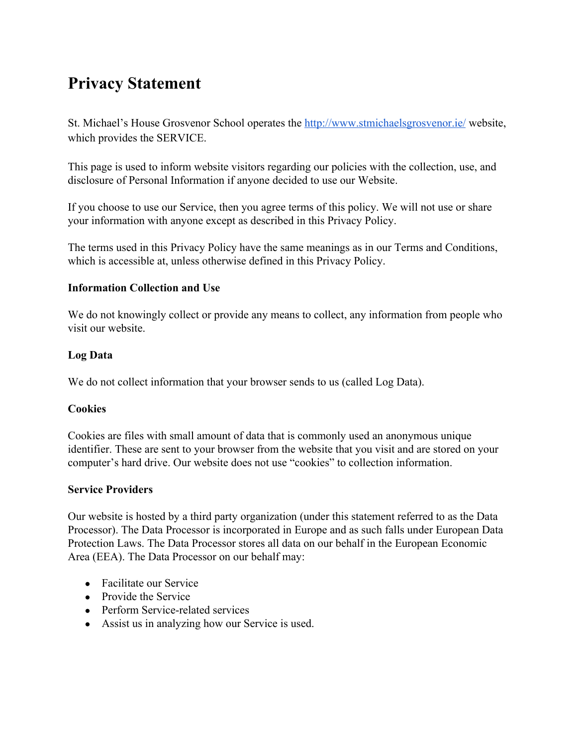# **Privacy Statement**

St. Michael's House Grosvenor School operates the<http://www.stmichaelsgrosvenor.ie/> website, which provides the SERVICE.

This page is used to inform website visitors regarding our policies with the collection, use, and disclosure of Personal Information if anyone decided to use our Website.

If you choose to use our Service, then you agree terms of this policy. We will not use or share your information with anyone except as described in this Privacy Policy.

The terms used in this Privacy Policy have the same meanings as in our Terms and Conditions, which is accessible at, unless otherwise defined in this Privacy Policy.

#### **Information Collection and Use**

We do not knowingly collect or provide any means to collect, any information from people who visit our website.

#### **Log Data**

We do not collect information that your browser sends to us (called Log Data).

#### **Cookies**

Cookies are files with small amount of data that is commonly used an anonymous unique identifier. These are sent to your browser from the website that you visit and are stored on your computer's hard drive. Our website does not use "cookies" to collection information.

#### **Service Providers**

Our website is hosted by a third party organization (under this statement referred to as the Data Processor). The Data Processor is incorporated in Europe and as such falls under European Data Protection Laws. The Data Processor stores all data on our behalf in the European Economic Area (EEA). The Data Processor on our behalf may:

- Facilitate our Service
- Provide the Service
- Perform Service-related services
- Assist us in analyzing how our Service is used.